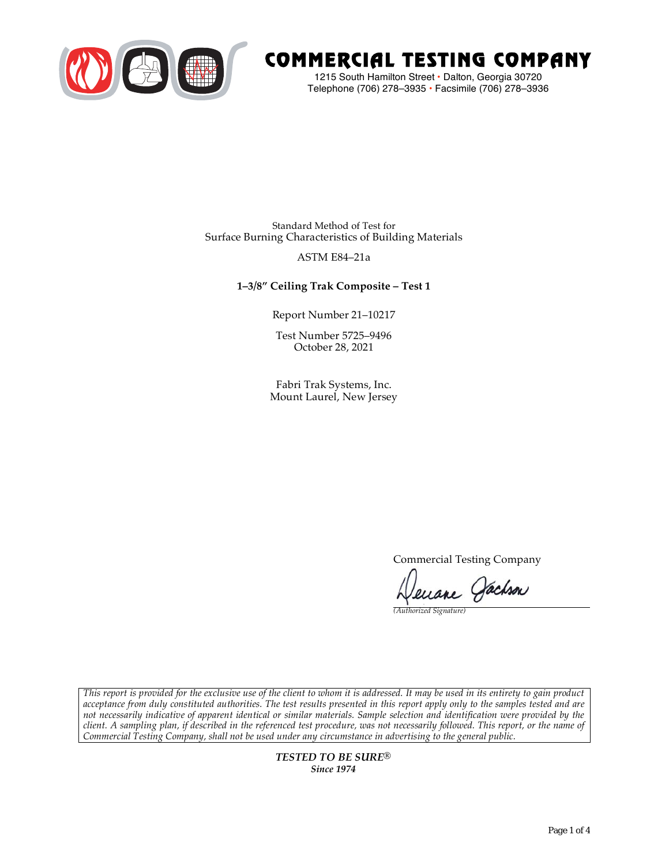

# COMMERCIAL TESTING COMPANY

1215 South Hamilton Street • Dalton, Georgia 30720 Telephone (706) 278–3935 **•** Facsimile (706) 278–3936

Standard Method of Test for Surface Burning Characteristics of Building Materials

### ASTM E84–21a

## **1–3/8" Ceiling Trak Composite – Test 1**

Report Number 21–10217

Test Number 5725–9496 October 28, 2021

Fabri Trak Systems, Inc. Mount Laurel, New Jersey

Commercial Testing Company

Jenane Jachson

*(Authorized Signature)* 

*This report is provided for the exclusive use of the client to whom it is addressed. It may be used in its entirety to gain product acceptance from duly constituted authorities. The test results presented in this report apply only to the samples tested and are not necessarily indicative of apparent identical or similar materials. Sample selection and identification were provided by the client. A sampling plan, if described in the referenced test procedure, was not necessarily followed. This report, or the name of Commercial Testing Company, shall not be used under any circumstance in advertising to the general public.* 

> *TESTED TO BE SURE® Since 1974*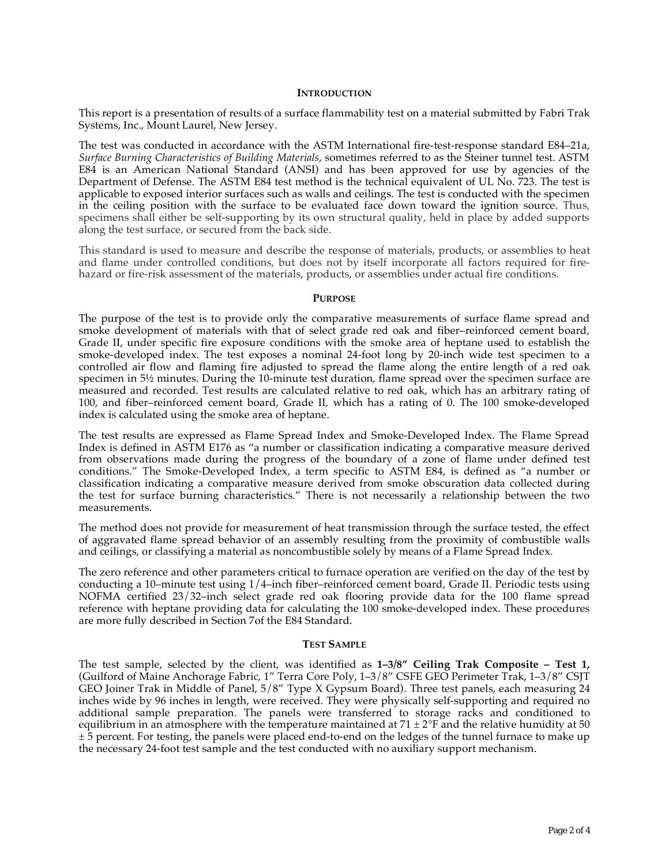#### **INTRODUCTION**

This report is a presentation of results of a surface flammability test on a material submitted by Fabri Trak Systems, Inc., Mount Laurel, New Jersey.

The test was conducted in accordance with the ASTM International fire-test-response standard E84–21a, *Surface Burning Characteristics of Building Materials*, sometimes referred to as the Steiner tunnel test. ASTM E84 is an American National Standard (ANSI) and has been approved for use by agencies of the Department of Defense. The ASTM E84 test method is the technical equivalent of UL No. 723. The test is applicable to exposed interior surfaces such as walls and ceilings. The test is conducted with the specimen in the ceiling position with the surface to be evaluated face down toward the ignition source. Thus, specimens shall either be self-supporting by its own structural quality, held in place by added supports along the test surface, or secured from the back side.

This standard is used to measure and describe the response of materials, products, or assemblies to heat and flame under controlled conditions, but does not by itself incorporate all factors required for firehazard or fire-risk assessment of the materials, products, or assemblies under actual fire conditions.

#### **PURPOSE**

The purpose of the test is to provide only the comparative measurements of surface flame spread and smoke development of materials with that of select grade red oak and fiber–reinforced cement board, Grade II, under specific fire exposure conditions with the smoke area of heptane used to establish the smoke-developed index. The test exposes a nominal 24-foot long by 20-inch wide test specimen to a controlled air flow and flaming fire adjusted to spread the flame along the entire length of a red oak specimen in  $5\frac{1}{2}$  minutes. During the 10-minute test duration, flame spread over the specimen surface are measured and recorded. Test results are calculated relative to red oak, which has an arbitrary rating of 100, and fiber–reinforced cement board, Grade II, which has a rating of 0. The 100 smoke-developed index is calculated using the smoke area of heptane.

The test results are expressed as Flame Spread Index and Smoke-Developed Index. The Flame Spread Index is defined in ASTM E176 as "a number or classification indicating a comparative measure derived from observations made during the progress of the boundary of a zone of flame under defined test conditions." The Smoke-Developed Index, a term specific to ASTM E84, is defined as "a number or classification indicating a comparative measure derived from smoke obscuration data collected during the test for surface burning characteristics." There is not necessarily a relationship between the two measurements.

The method does not provide for measurement of heat transmission through the surface tested, the effect of aggravated flame spread behavior of an assembly resulting from the proximity of combustible walls and ceilings, or classifying a material as noncombustible solely by means of a Flame Spread Index.

The zero reference and other parameters critical to furnace operation are verified on the day of the test by conducting a 10–minute test using 1/4–inch fiber–reinforced cement board, Grade II. Periodic tests using NOFMA certified 23/32–inch select grade red oak flooring provide data for the 100 flame spread reference with heptane providing data for calculating the 100 smoke-developed index. These procedures are more fully described in Section 7of the E84 Standard.

#### **TEST SAMPLE**

The test sample, selected by the client, was identified as **1–3/8" Ceiling Trak Composite – Test 1,**  (Guilford of Maine Anchorage Fabric, 1" Terra Core Poly, 1–3/8" CSFE GEO Perimeter Trak, 1–3/8" CSJT GEO Joiner Trak in Middle of Panel, 5/8" Type X Gypsum Board). Three test panels, each measuring 24 inches wide by 96 inches in length, were received. They were physically self-supporting and required no additional sample preparation. The panels were transferred to storage racks and conditioned to equilibrium in an atmosphere with the temperature maintained at  $71 \pm 2$ °F and the relative humidity at 50  $\pm$  5 percent. For testing, the panels were placed end-to-end on the ledges of the tunnel furnace to make up the necessary 24-foot test sample and the test conducted with no auxiliary support mechanism.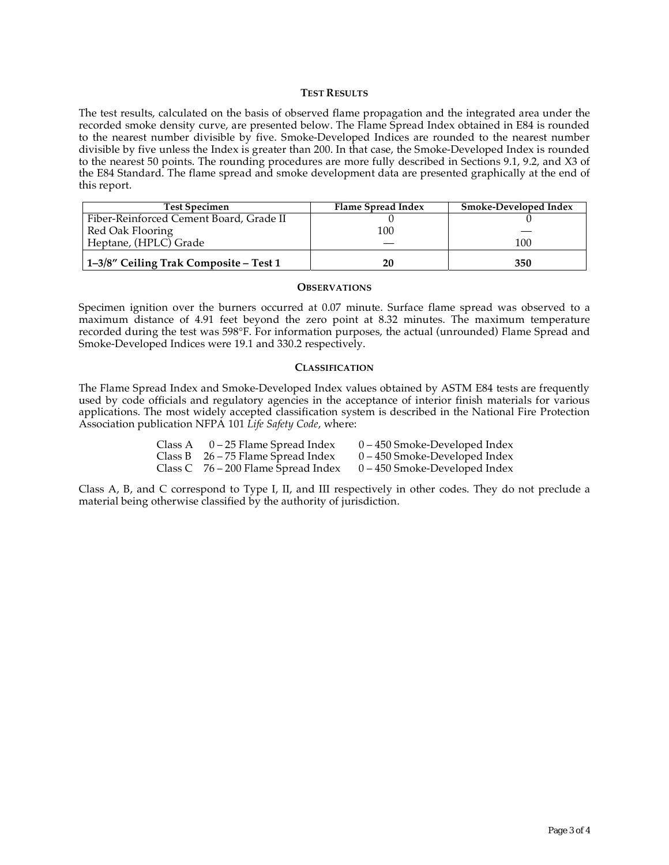#### **TEST RESULTS**

The test results, calculated on the basis of observed flame propagation and the integrated area under the recorded smoke density curve, are presented below. The Flame Spread Index obtained in E84 is rounded to the nearest number divisible by five. Smoke-Developed Indices are rounded to the nearest number divisible by five unless the Index is greater than 200. In that case, the Smoke-Developed Index is rounded to the nearest 50 points. The rounding procedures are more fully described in Sections 9.1, 9.2, and X3 of the E84 Standard. The flame spread and smoke development data are presented graphically at the end of this report.

| <b>Test Specimen</b>                    | Flame Spread Index | Smoke-Developed Index |
|-----------------------------------------|--------------------|-----------------------|
| Fiber-Reinforced Cement Board, Grade II |                    |                       |
| Red Oak Flooring                        | 100                |                       |
| Heptane, (HPLC) Grade                   |                    | 100                   |
| 1–3/8" Ceiling Trak Composite – Test 1  | 20                 | 350                   |

#### **OBSERVATIONS**

Specimen ignition over the burners occurred at 0.07 minute. Surface flame spread was observed to a maximum distance of 4.91 feet beyond the zero point at 8.32 minutes. The maximum temperature recorded during the test was 598°F. For information purposes, the actual (unrounded) Flame Spread and Smoke-Developed Indices were 19.1 and 330.2 respectively.

#### **CLASSIFICATION**

The Flame Spread Index and Smoke-Developed Index values obtained by ASTM E84 tests are frequently used by code officials and regulatory agencies in the acceptance of interior finish materials for various applications. The most widely accepted classification system is described in the National Fire Protection Association publication NFPA 101 *Life Safety Code*, where:

| Class A $0-25$ Flame Spread Index     | $0 - 450$ Smoke-Developed Index |
|---------------------------------------|---------------------------------|
| Class B $26 - 75$ Flame Spread Index  | $0 - 450$ Smoke-Developed Index |
| Class C $76 - 200$ Flame Spread Index | $0 - 450$ Smoke-Developed Index |

Class A, B, and C correspond to Type I, II, and III respectively in other codes. They do not preclude a material being otherwise classified by the authority of jurisdiction.